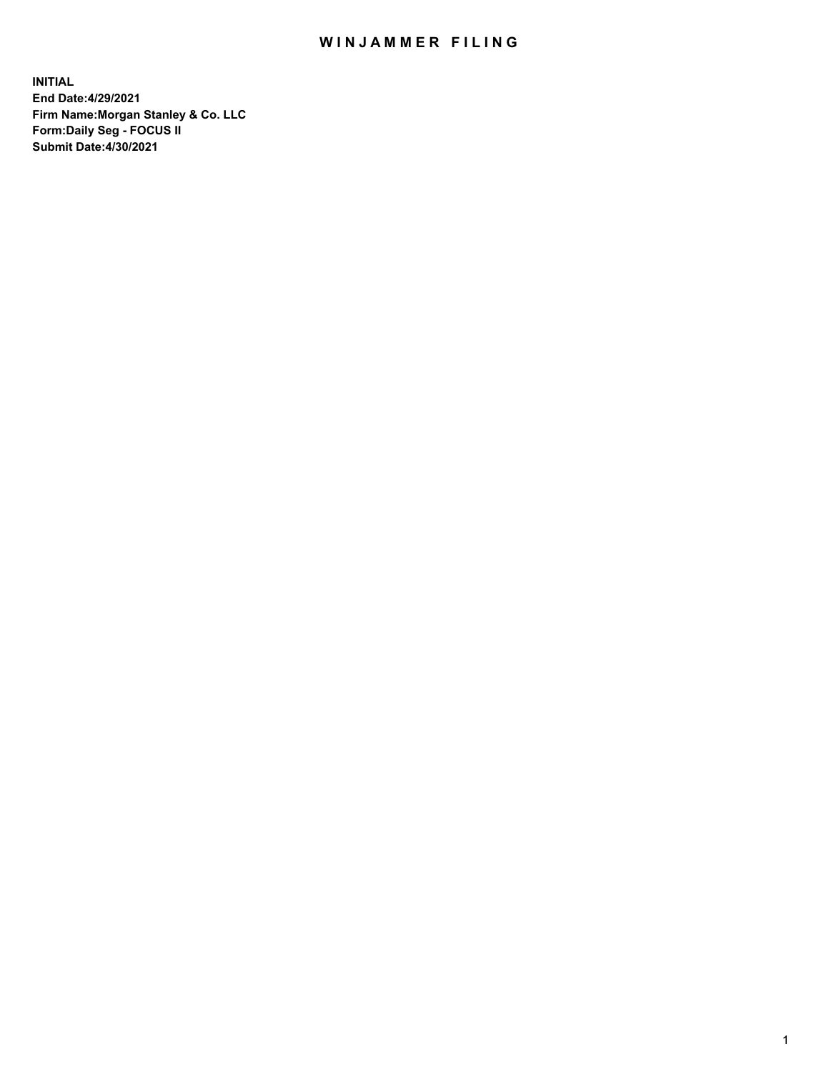## WIN JAMMER FILING

**INITIAL End Date:4/29/2021 Firm Name:Morgan Stanley & Co. LLC Form:Daily Seg - FOCUS II Submit Date:4/30/2021**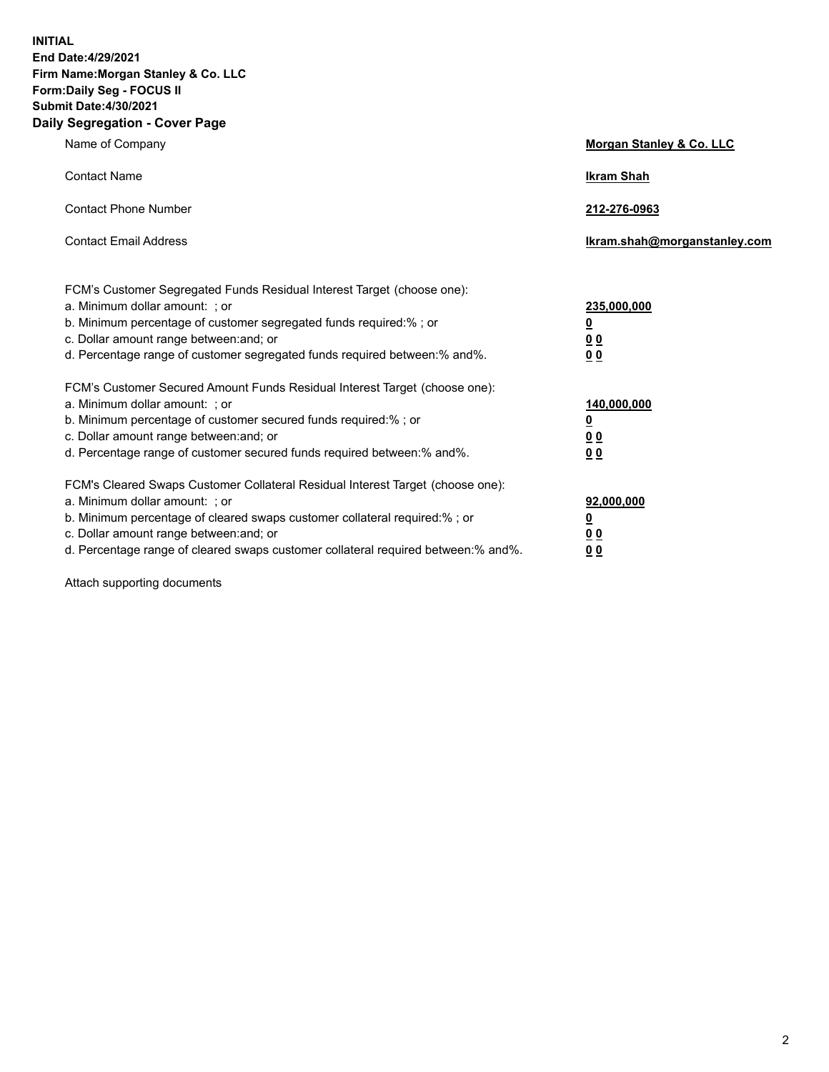**INITIAL End Date:4/29/2021 Firm Name:Morgan Stanley & Co. LLC Form:Daily Seg - FOCUS II Submit Date:4/30/2021 Daily Segregation - Cover Page**

| Name of Company                                                                                                                                                                                                                                                                                                                | <b>Morgan Stanley &amp; Co. LLC</b>                         |
|--------------------------------------------------------------------------------------------------------------------------------------------------------------------------------------------------------------------------------------------------------------------------------------------------------------------------------|-------------------------------------------------------------|
| <b>Contact Name</b>                                                                                                                                                                                                                                                                                                            | <b>Ikram Shah</b>                                           |
| <b>Contact Phone Number</b>                                                                                                                                                                                                                                                                                                    | 212-276-0963                                                |
| <b>Contact Email Address</b>                                                                                                                                                                                                                                                                                                   | Ikram.shah@morganstanley.com                                |
| FCM's Customer Segregated Funds Residual Interest Target (choose one):<br>a. Minimum dollar amount: ; or<br>b. Minimum percentage of customer segregated funds required:%; or<br>c. Dollar amount range between: and; or<br>d. Percentage range of customer segregated funds required between:% and%.                          | 235,000,000<br><u>0</u><br>0 <sub>0</sub><br>0 <sub>0</sub> |
| FCM's Customer Secured Amount Funds Residual Interest Target (choose one):<br>a. Minimum dollar amount: ; or<br>b. Minimum percentage of customer secured funds required:% ; or<br>c. Dollar amount range between: and; or<br>d. Percentage range of customer secured funds required between:% and%.                           | 140,000,000<br><u>0</u><br>0 <sub>0</sub><br>0 <sub>0</sub> |
| FCM's Cleared Swaps Customer Collateral Residual Interest Target (choose one):<br>a. Minimum dollar amount: ; or<br>b. Minimum percentage of cleared swaps customer collateral required:% ; or<br>c. Dollar amount range between: and; or<br>d. Percentage range of cleared swaps customer collateral required between:% and%. | 92,000,000<br><u>0</u><br><u>00</u><br>0 <sub>0</sub>       |

Attach supporting documents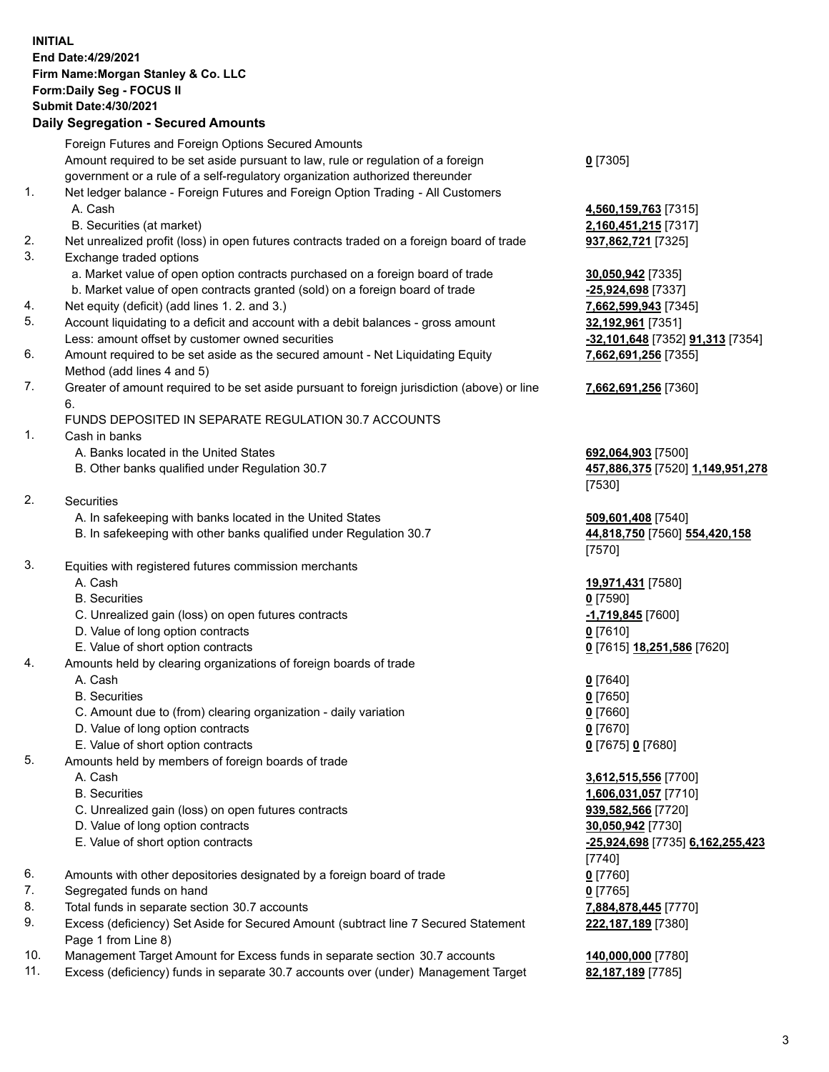## **INITIAL End Date:4/29/2021 Firm Name:Morgan Stanley & Co. LLC Form:Daily Seg - FOCUS II Submit Date:4/30/2021**

## **Daily Segregation - Secured Amounts**

|    | Foreign Futures and Foreign Options Secured Amounts                                                        |                                         |
|----|------------------------------------------------------------------------------------------------------------|-----------------------------------------|
|    | Amount required to be set aside pursuant to law, rule or regulation of a foreign                           | $0$ [7305]                              |
|    | government or a rule of a self-regulatory organization authorized thereunder                               |                                         |
| 1. | Net ledger balance - Foreign Futures and Foreign Option Trading - All Customers                            |                                         |
|    | A. Cash                                                                                                    | 4,560,159,763 [7315]                    |
|    | B. Securities (at market)                                                                                  | 2,160,451,215 [7317]                    |
| 2. | Net unrealized profit (loss) in open futures contracts traded on a foreign board of trade                  | 937,862,721 [7325]                      |
| 3. | Exchange traded options                                                                                    |                                         |
|    | a. Market value of open option contracts purchased on a foreign board of trade                             | 30,050,942 [7335]                       |
|    | b. Market value of open contracts granted (sold) on a foreign board of trade                               | -25,924,698 [7337]                      |
| 4. | Net equity (deficit) (add lines 1. 2. and 3.)                                                              | 7,662,599,943 [7345]                    |
| 5. | Account liquidating to a deficit and account with a debit balances - gross amount                          | <u>32,192,961</u> [7351]                |
|    | Less: amount offset by customer owned securities                                                           | -32,101,648 [7352] 91,313 [7354]        |
| 6. | Amount required to be set aside as the secured amount - Net Liquidating Equity                             | 7,662,691,256 [7355]                    |
|    | Method (add lines 4 and 5)                                                                                 |                                         |
| 7. | Greater of amount required to be set aside pursuant to foreign jurisdiction (above) or line<br>6.          | 7,662,691,256 [7360]                    |
|    | FUNDS DEPOSITED IN SEPARATE REGULATION 30.7 ACCOUNTS                                                       |                                         |
| 1. | Cash in banks                                                                                              |                                         |
|    | A. Banks located in the United States                                                                      | 692,064,903 [7500]                      |
|    | B. Other banks qualified under Regulation 30.7                                                             | 457,886,375 [7520] 1,149,951,278        |
|    |                                                                                                            | [7530]                                  |
| 2. | <b>Securities</b>                                                                                          |                                         |
|    | A. In safekeeping with banks located in the United States                                                  | 509,601,408 [7540]                      |
|    | B. In safekeeping with other banks qualified under Regulation 30.7                                         | 44,818,750 [7560] 554,420,158<br>[7570] |
| 3. | Equities with registered futures commission merchants                                                      |                                         |
|    | A. Cash                                                                                                    | 19,971,431 [7580]                       |
|    | <b>B.</b> Securities                                                                                       | $0$ [7590]                              |
|    | C. Unrealized gain (loss) on open futures contracts                                                        | -1,719,845 [7600]                       |
|    | D. Value of long option contracts                                                                          | $0$ [7610]                              |
|    | E. Value of short option contracts                                                                         | 0 [7615] 18,251,586 [7620]              |
| 4. | Amounts held by clearing organizations of foreign boards of trade                                          |                                         |
|    | A. Cash                                                                                                    | $0$ [7640]                              |
|    | <b>B.</b> Securities                                                                                       | $0$ [7650]                              |
|    | C. Amount due to (from) clearing organization - daily variation                                            | $0$ [7660]                              |
|    | D. Value of long option contracts                                                                          | $0$ [7670]                              |
|    | E. Value of short option contracts                                                                         | 0 [7675] 0 [7680]                       |
| 5. | Amounts held by members of foreign boards of trade                                                         |                                         |
|    | A. Cash                                                                                                    | 3,612,515,556 [7700]                    |
|    | <b>B.</b> Securities                                                                                       | 1,606,031,057 [7710]                    |
|    | C. Unrealized gain (loss) on open futures contracts                                                        | 939,582,566 [7720]                      |
|    | D. Value of long option contracts                                                                          | 30,050,942 [7730]                       |
|    | E. Value of short option contracts                                                                         | <u>-25,924,698</u> [7735] 6,162,255,423 |
|    |                                                                                                            | [7740]                                  |
| 6. | Amounts with other depositories designated by a foreign board of trade                                     | 0 [7760]                                |
| 7. | Segregated funds on hand                                                                                   | $0$ [7765]                              |
| 8. | Total funds in separate section 30.7 accounts                                                              | 7,884,878,445 [7770]                    |
| 9. | Excess (deficiency) Set Aside for Secured Amount (subtract line 7 Secured Statement<br>Page 1 from Line 8) | 222,187,189 [7380]                      |

- 10. Management Target Amount for Excess funds in separate section 30.7 accounts **140,000,000** [7780]
- 11. Excess (deficiency) funds in separate 30.7 accounts over (under) Management Target **82,187,189** [7785]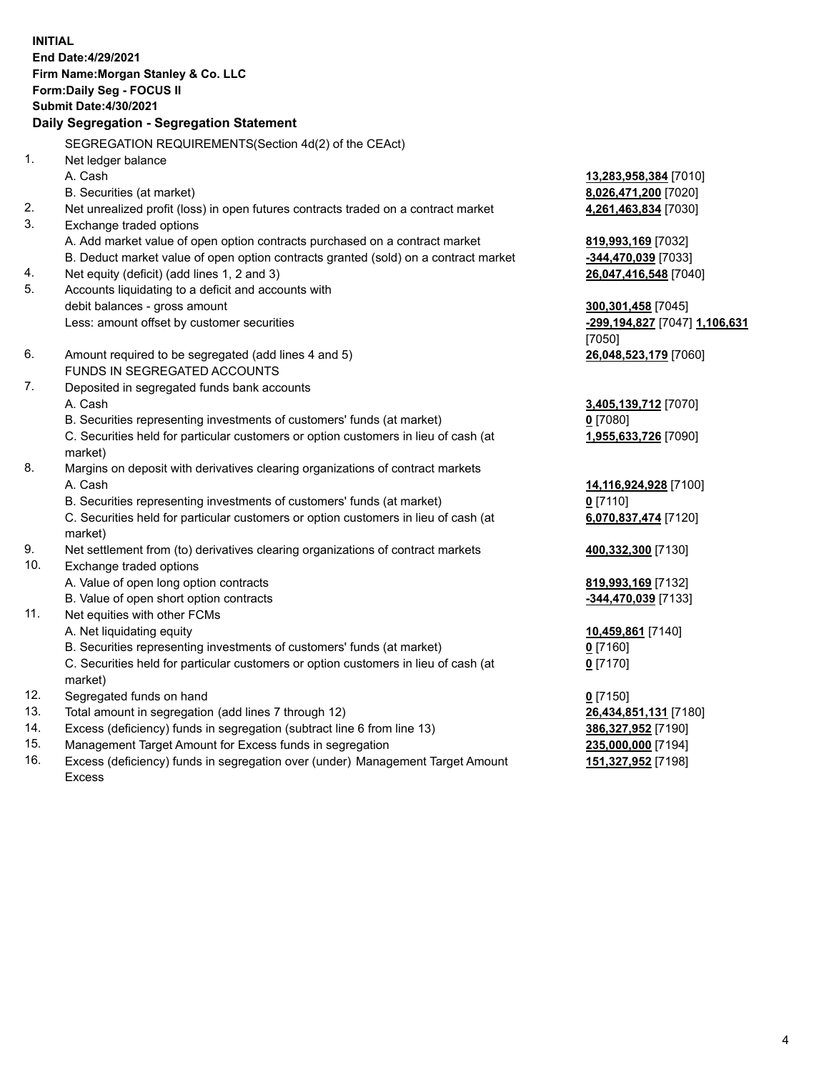**INITIAL End Date:4/29/2021 Firm Name:Morgan Stanley & Co. LLC Form:Daily Seg - FOCUS II Submit Date:4/30/2021 Daily Segregation - Segregation Statement** SEGREGATION REQUIREMENTS(Section 4d(2) of the CEAct) 1. Net ledger balance A. Cash **13,283,958,384** [7010] B. Securities (at market) **8,026,471,200** [7020] 2. Net unrealized profit (loss) in open futures contracts traded on a contract market **4,261,463,834** [7030] 3. Exchange traded options A. Add market value of open option contracts purchased on a contract market **819,993,169** [7032] B. Deduct market value of open option contracts granted (sold) on a contract market **-344,470,039** [7033] 4. Net equity (deficit) (add lines 1, 2 and 3) **26,047,416,548** [7040] 5. Accounts liquidating to a deficit and accounts with debit balances - gross amount **300,301,458** [7045] Less: amount offset by customer securities **-299,194,827** [7047] **1,106,631** [7050] 6. Amount required to be segregated (add lines 4 and 5) **26,048,523,179** [7060] FUNDS IN SEGREGATED ACCOUNTS 7. Deposited in segregated funds bank accounts A. Cash **3,405,139,712** [7070] B. Securities representing investments of customers' funds (at market) **0** [7080] C. Securities held for particular customers or option customers in lieu of cash (at market) **1,955,633,726** [7090] 8. Margins on deposit with derivatives clearing organizations of contract markets A. Cash **14,116,924,928** [7100] B. Securities representing investments of customers' funds (at market) **0** [7110] C. Securities held for particular customers or option customers in lieu of cash (at market) **6,070,837,474** [7120] 9. Net settlement from (to) derivatives clearing organizations of contract markets **400,332,300** [7130] 10. Exchange traded options A. Value of open long option contracts **819,993,169** [7132] B. Value of open short option contracts **-344,470,039** [7133] 11. Net equities with other FCMs A. Net liquidating equity **10,459,861** [7140] B. Securities representing investments of customers' funds (at market) **0** [7160] C. Securities held for particular customers or option customers in lieu of cash (at market) **0** [7170] 12. Segregated funds on hand **0** [7150] 13. Total amount in segregation (add lines 7 through 12) **26,434,851,131** [7180] 14. Excess (deficiency) funds in segregation (subtract line 6 from line 13) **386,327,952** [7190] 15. Management Target Amount for Excess funds in segregation **235,000,000** [7194]

16. Excess (deficiency) funds in segregation over (under) Management Target Amount Excess

**151,327,952** [7198]